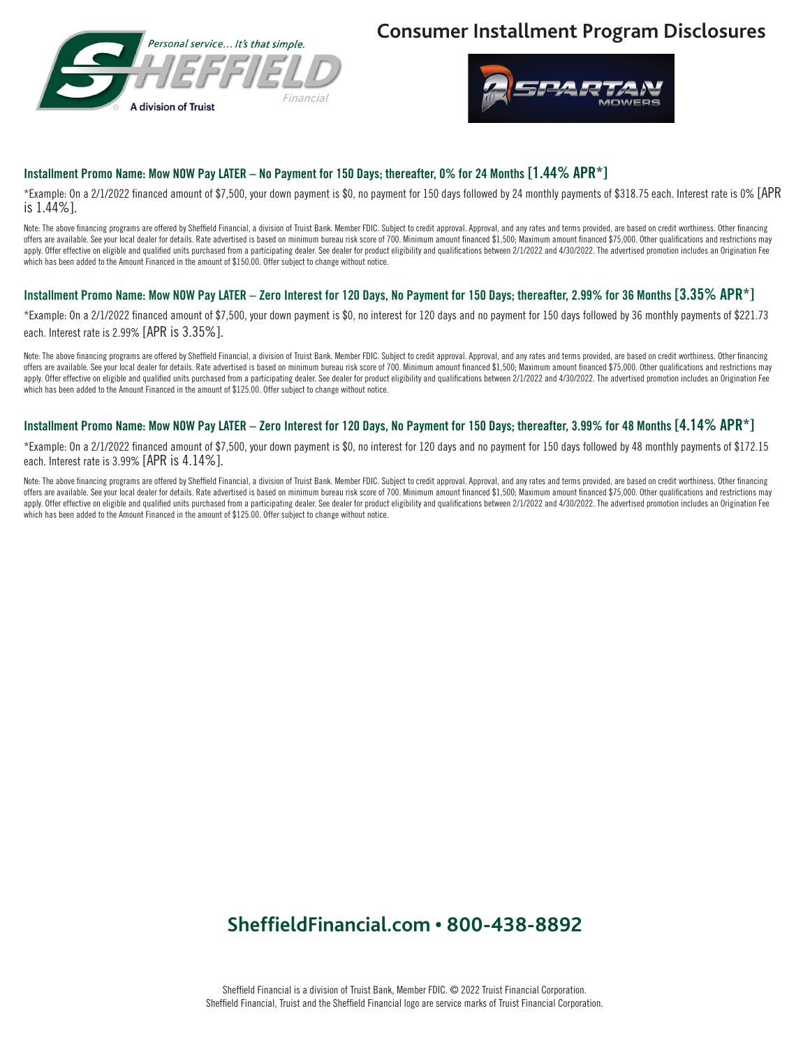

### **Consumer Installment Program Disclosures**



#### Installment Promo Name: Mow NOW Pay LATER – No Payment for 150 Days; thereafter, 0% for 24 Months [1.44% APR\*]

\*Example: On a 2/1/2022 financed amount of \$7,500, your down payment is \$0, no payment for 150 days followed by 24 monthly payments of \$318.75 each. Interest rate is 0% [APR is 1.44%].

Note: The above financing programs are offered by Sheffield Financial, a division of Truist Bank. Member FDIC. Subject to credit approval. Approval, and any rates and terms provided, are based on credit worthiness. Other f offers are available. See your local dealer for details. Rate advertised is based on minimum bureau risk score of 700. Minimum amount financed \$1,500; Maximum amount financed \$75,000. Other qualifications and restrictions apply. Offer effective on eligible and qualified units purchased from a participating dealer. See dealer for product eligibility and qualifications between 2/1/2022 and 4/30/2022. The advertised promotion includes an Origi which has been added to the Amount Financed in the amount of \$150.00. Offer subject to change without notice.

#### Installment Promo Name: Mow NOW Pay LATER – Zero Interest for 120 Days, No Payment for 150 Days; thereafter, 2.99% for 36 Months [3.35% APR\*]

\*Example: On a 2/1/2022 financed amount of \$7,500, your down payment is \$0, no interest for 120 days and no payment for 150 days followed by 36 monthly payments of \$221.73 each. Interest rate is 2.99% [APR is 3.35%].

Note: The above financing programs are offered by Sheffield Financial, a division of Truist Bank. Member FDIC. Subject to credit approval. Approval, and any rates and terms provided, are based on credit worthiness. Other f offers are available. See your local dealer for details. Rate advertised is based on minimum bureau risk score of 700. Minimum amount financed \$1,500. Maximum amount financed \$75,000. Other qualifications and restrictions apply. Offer effective on eligible and qualified units purchased from a participating dealer. See dealer for product eligibility and qualifications between 2/1/2022 and 4/30/2022. The advertised promotion includes an Origi which has been added to the Amount Financed in the amount of \$125.00. Offer subject to change without notice.

#### Installment Promo Name: Mow NOW Pay LATER – Zero Interest for 120 Days, No Payment for 150 Days; thereafter, 3.99% for 48 Months [4.14% APR\*]

\*Example: On a 2/1/2022 financed amount of \$7,500, your down payment is \$0, no interest for 120 days and no payment for 150 days followed by 48 monthly payments of \$172.15 each. Interest rate is 3.99% [APR is 4.14%].

Note: The above financing programs are offered by Sheffield Financial, a division of Truist Bank. Member FDIC. Subject to credit approval. Approval, and any rates and terms provided, are based on credit worthiness. Other f offers are available. See your local dealer for details. Rate advertised is based on minimum bureau risk score of 700. Minimum amount financed \$1,500; Maximum amount financed \$75,000. Other qualifications and restrictions apply. Offer effective on eligible and qualified units purchased from a participating dealer. See dealer for product eligibility and qualifications between 2/1/2022 and 4/30/2022. The advertised promotion includes an Origi which has been added to the Amount Financed in the amount of \$125.00. Offer subject to change without notice.

# **SheffieldFinancial.com • 800-438-8892**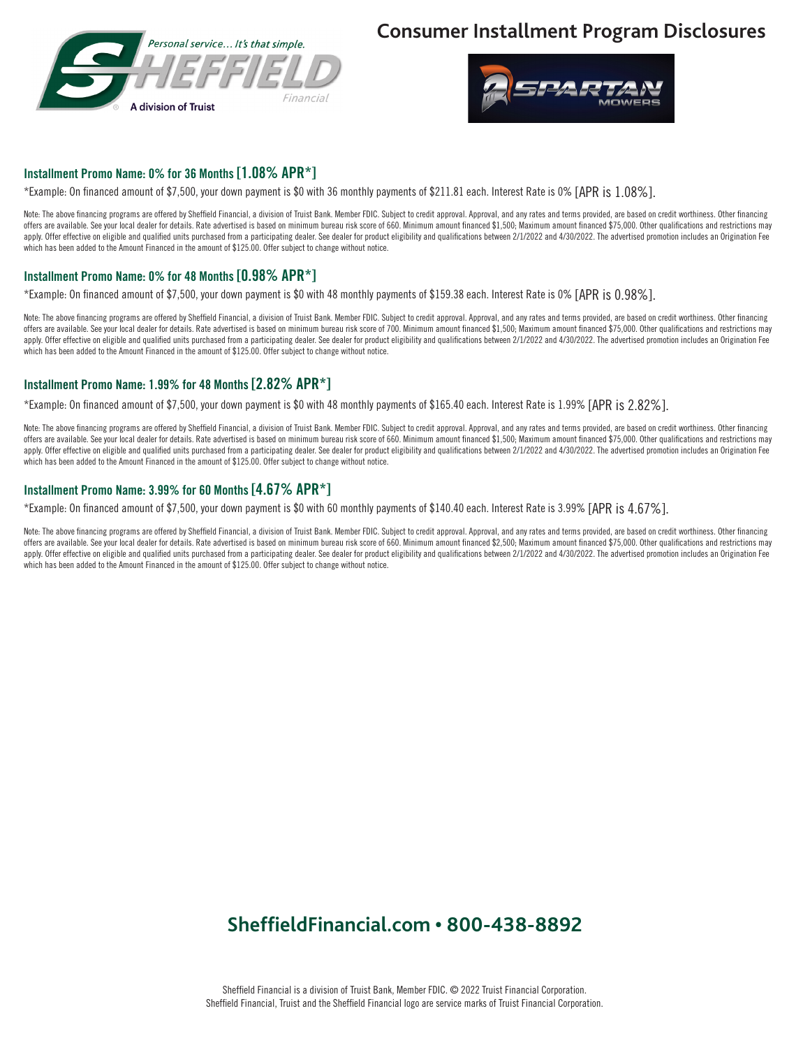

## **Consumer Installment Program Disclosures**



#### Installment Promo Name: 0% for 36 Months [1.08% APR\*]

\*Example: On financed amount of \$7,500, your down payment is \$0 with 36 monthly payments of \$211.81 each. Interest Rate is 0% [APR is 1.08%].

Note: The above financing programs are offered by Sheffield Financial, a division of Truist Bank. Member FDIC. Subject to credit approval. Approval, and any rates and terms provided, are based on credit worthiness. Other f offers are available. See your local dealer for details. Rate advertised is based on minimum bureau risk score of 660. Minimum amount financed \$1,500; Maximum amount financed \$75,000. Other qualifications and restrictions apply. Offer effective on eligible and qualified units purchased from a participating dealer. See dealer for product eligibility and qualifications between 2/1/2022 and 4/30/2022. The advertised promotion includes an Origi which has been added to the Amount Financed in the amount of \$125.00. Offer subject to change without notice.

### Installment Promo Name: 0% for 48 Months [0.98% APR\*]

\*Example: On financed amount of \$7,500, your down payment is \$0 with 48 monthly payments of \$159.38 each. Interest Rate is 0% [APR is 0.98%].

Note: The above financing programs are offered by Sheffield Financial, a division of Truist Bank. Member FDIC. Subject to credit approval. Approval, and any rates and terms provided, are based on credit worthiness. Other f offers are available. See your local dealer for details. Rate advertised is based on minimum bureau risk score of 700. Minimum amount financed \$1,500; Maximum amount financed \$75,000. Other qualifications and restrictions apply. Offer effective on eligible and qualified units purchased from a participating dealer. See dealer for product eligibility and qualifications between 2/1/2022 and 4/30/2022. The advertised promotion includes an Origi which has been added to the Amount Financed in the amount of \$125.00. Offer subject to change without notice.

#### Installment Promo Name: 1.99% for 48 Months [2.82% APR\*]

\*Example: On financed amount of \$7,500, your down payment is \$0 with 48 monthly payments of \$165.40 each. Interest Rate is 1.99% [APR is 2.82%].

Note: The above financing programs are offered by Sheffield Financial, a division of Truist Bank. Member FDIC. Subject to credit approval. Approval, and any rates and terms provided, are based on credit worthiness. Other f offers are available. See your local dealer for details. Rate advertised is based on minimum bureau risk score of 660. Minimum amount financed \$1,500; Maximum amount financed \$75,000. Other qualifications and restrictions apply. Offer effective on eligible and qualified units purchased from a participating dealer. See dealer for product eligibility and qualifications between 2/1/2022 and 4/30/2022. The advertised promotion includes an Origi which has been added to the Amount Financed in the amount of \$125.00. Offer subject to change without notice.

#### Installment Promo Name: 3.99% for 60 Months [4.67% APR\*]

\*Example: On financed amount of \$7,500, your down payment is \$0 with 60 monthly payments of \$140.40 each. Interest Rate is 3.99% [APR is 4.67%].

Note: The above financing programs are offered by Sheffield Financial, a division of Truist Bank. Member FDIC. Subject to credit approval. Approval, and any rates and terms provided, are based on credit worthiness. Other f offers are available. See your local dealer for details, Rate advertised is based on minimum bureau risk score of 660. Minimum amount financed \$2,500. Maximum amount financed \$75,000. Other qualifications and restrictions apply. Offer effective on eligible and qualified units purchased from a participating dealer. See dealer for product eligibility and qualifications between 2/1/2022 and 4/30/2022. The advertised promotion includes an Origi which has been added to the Amount Financed in the amount of \$125.00. Offer subject to change without notice.

## **SheffieldFinancial.com • 800-438-8892**